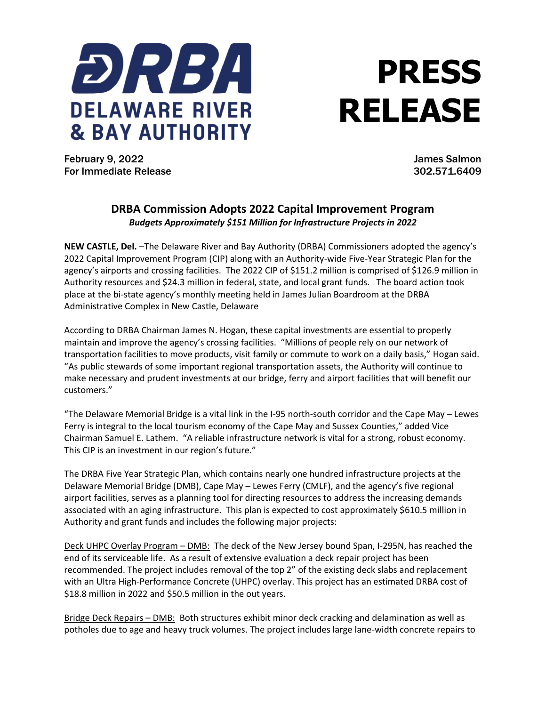

## **PRESS RELEASE**

February 9, 2022 James Salmon For Immediate Release 302.571.6409

## **DRBA Commission Adopts 2022 Capital Improvement Program** *Budgets Approximately \$151 Million for Infrastructure Projects in 2022*

**NEW CASTLE, Del.** –The Delaware River and Bay Authority (DRBA) Commissioners adopted the agency's 2022 Capital Improvement Program (CIP) along with an Authority-wide Five-Year Strategic Plan for the agency's airports and crossing facilities. The 2022 CIP of \$151.2 million is comprised of \$126.9 million in Authority resources and \$24.3 million in federal, state, and local grant funds. The board action took place at the bi-state agency's monthly meeting held in James Julian Boardroom at the DRBA Administrative Complex in New Castle, Delaware

According to DRBA Chairman James N. Hogan, these capital investments are essential to properly maintain and improve the agency's crossing facilities. "Millions of people rely on our network of transportation facilities to move products, visit family or commute to work on a daily basis," Hogan said. "As public stewards of some important regional transportation assets, the Authority will continue to make necessary and prudent investments at our bridge, ferry and airport facilities that will benefit our customers."

"The Delaware Memorial Bridge is a vital link in the I-95 north-south corridor and the Cape May – Lewes Ferry is integral to the local tourism economy of the Cape May and Sussex Counties," added Vice Chairman Samuel E. Lathem. "A reliable infrastructure network is vital for a strong, robust economy. This CIP is an investment in our region's future."

The DRBA Five Year Strategic Plan, which contains nearly one hundred infrastructure projects at the Delaware Memorial Bridge (DMB), Cape May – Lewes Ferry (CMLF), and the agency's five regional airport facilities, serves as a planning tool for directing resources to address the increasing demands associated with an aging infrastructure. This plan is expected to cost approximately \$610.5 million in Authority and grant funds and includes the following major projects:

Deck UHPC Overlay Program – DMB: The deck of the New Jersey bound Span, I-295N, has reached the end of its serviceable life. As a result of extensive evaluation a deck repair project has been recommended. The project includes removal of the top 2" of the existing deck slabs and replacement with an Ultra High-Performance Concrete (UHPC) overlay. This project has an estimated DRBA cost of \$18.8 million in 2022 and \$50.5 million in the out years.

Bridge Deck Repairs - DMB: Both structures exhibit minor deck cracking and delamination as well as potholes due to age and heavy truck volumes. The project includes large lane-width concrete repairs to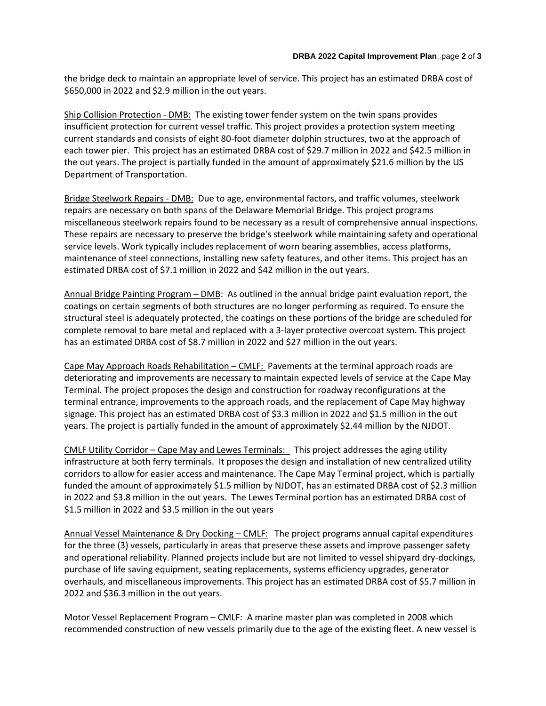the bridge deck to maintain an appropriate level of service. This project has an estimated DRBA cost of \$650,000 in 2022 and \$2.9 million in the out years.

Ship Collision Protection ‐ DMB: The existing tower fender system on the twin spans provides insufficient protection for current vessel traffic. This project provides a protection system meeting current standards and consists of eight 80-foot diameter dolphin structures, two at the approach of each tower pier. This project has an estimated DRBA cost of \$29.7 million in 2022 and \$42.5 million in the out years. The project is partially funded in the amount of approximately \$21.6 million by the US Department of Transportation.

Bridge Steelwork Repairs ‐ DMB: Due to age, environmental factors, and traffic volumes, steelwork repairs are necessary on both spans of the Delaware Memorial Bridge. This project programs miscellaneous steelwork repairs found to be necessary as a result of comprehensive annual inspections. These repairs are necessary to preserve the bridge's steelwork while maintaining safety and operational service levels. Work typically includes replacement of worn bearing assemblies, access platforms, maintenance of steel connections, installing new safety features, and other items. This project has an estimated DRBA cost of \$7.1 million in 2022 and \$42 million in the out years.

Annual Bridge Painting Program – DMB: As outlined in the annual bridge paint evaluation report, the coatings on certain segments of both structures are no longer performing as required. To ensure the structural steel is adequately protected, the coatings on these portions of the bridge are scheduled for complete removal to bare metal and replaced with a 3-layer protective overcoat system. This project has an estimated DRBA cost of \$8.7 million in 2022 and \$27 million in the out years.

Cape May Approach Roads Rehabilitation – CMLF: Pavements at the terminal approach roads are deteriorating and improvements are necessary to maintain expected levels of service at the Cape May Terminal. The project proposes the design and construction for roadway reconfigurations at the terminal entrance, improvements to the approach roads, and the replacement of Cape May highway signage. This project has an estimated DRBA cost of \$3.3 million in 2022 and \$1.5 million in the out years. The project is partially funded in the amount of approximately \$2.44 million by the NJDOT.

CMLF Utility Corridor – Cape May and Lewes Terminals: This project addresses the aging utility infrastructure at both ferry terminals. It proposes the design and installation of new centralized utility corridors to allow for easier access and maintenance. The Cape May Terminal project, which is partially funded the amount of approximately \$1.5 million by NJDOT, has an estimated DRBA cost of \$2.3 million in 2022 and \$3.8 million in the out years. The Lewes Terminal portion has an estimated DRBA cost of \$1.5 million in 2022 and \$3.5 million in the out years

Annual Vessel Maintenance & Dry Docking – CMLF: The project programs annual capital expenditures for the three (3) vessels, particularly in areas that preserve these assets and improve passenger safety and operational reliability. Planned projects include but are not limited to vessel shipyard dry-dockings, purchase of life saving equipment, seating replacements, systems efficiency upgrades, generator overhauls, and miscellaneous improvements. This project has an estimated DRBA cost of \$5.7 million in 2022 and \$36.3 million in the out years.

Motor Vessel Replacement Program – CMLF: A marine master plan was completed in 2008 which recommended construction of new vessels primarily due to the age of the existing fleet. A new vessel is